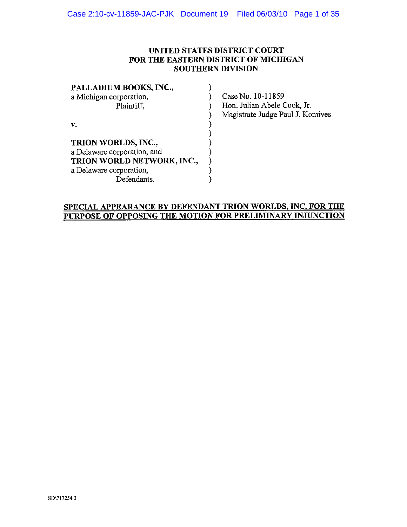### UNITED STATES DISTRICT COURT FOR THE EASTERN DISTRICT OF MICHIGAN **SOUTHERN DIVISION**

| PALLADIUM BOOKS, INC.,      |  |
|-----------------------------|--|
| a Michigan corporation,     |  |
| Plaintiff,                  |  |
|                             |  |
| v.                          |  |
|                             |  |
| TRION WORLDS, INC.,         |  |
| a Delaware corporation, and |  |
| TRION WORLD NETWORK, INC.,  |  |
| a Delaware corporation,     |  |
| Defendants.                 |  |

Case No. 10-11859 Hon. Julian Abele Cook, Jr. Magistrate Judge Paul J. Komives

 $\mathcal{A}$ 

# SPECIAL APPEARANCE BY DEFENDANT TRION WORLDS, INC. FOR THE PURPOSE OF OPPOSING THE MOTION FOR PRELIMINARY INJUNCTION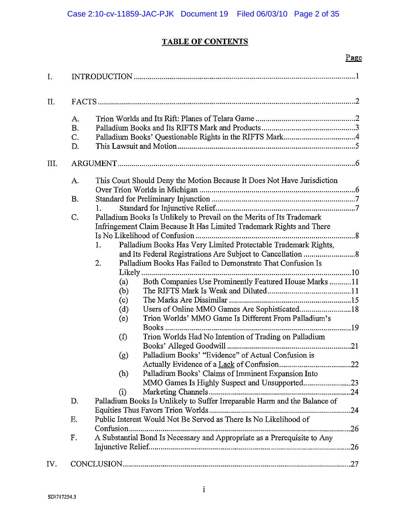# **TABLE OF CONTENTS**

|      |                                  | Page                                                                                                                                                                                                                                                                                                                                                                                                                                                                                                                                                                                                                                                                                                                                                                                                                                                                                                                                                                                                                               |  |
|------|----------------------------------|------------------------------------------------------------------------------------------------------------------------------------------------------------------------------------------------------------------------------------------------------------------------------------------------------------------------------------------------------------------------------------------------------------------------------------------------------------------------------------------------------------------------------------------------------------------------------------------------------------------------------------------------------------------------------------------------------------------------------------------------------------------------------------------------------------------------------------------------------------------------------------------------------------------------------------------------------------------------------------------------------------------------------------|--|
| I.   |                                  |                                                                                                                                                                                                                                                                                                                                                                                                                                                                                                                                                                                                                                                                                                                                                                                                                                                                                                                                                                                                                                    |  |
| Π.   |                                  |                                                                                                                                                                                                                                                                                                                                                                                                                                                                                                                                                                                                                                                                                                                                                                                                                                                                                                                                                                                                                                    |  |
|      | А.<br><b>B.</b><br>C.<br>D.      |                                                                                                                                                                                                                                                                                                                                                                                                                                                                                                                                                                                                                                                                                                                                                                                                                                                                                                                                                                                                                                    |  |
| III. |                                  |                                                                                                                                                                                                                                                                                                                                                                                                                                                                                                                                                                                                                                                                                                                                                                                                                                                                                                                                                                                                                                    |  |
|      | A.<br>Β.<br>C.<br>D.<br>Ε.<br>F. | This Court Should Deny the Motion Because It Does Not Have Jurisdiction<br>1.<br>Palladium Books Is Unlikely to Prevail on the Merits of Its Trademark<br>Infringement Claim Because It Has Limited Trademark Rights and There<br>Palladium Books Has Very Limited Protectable Trademark Rights,<br>1.<br>2.<br>Palladium Books Has Failed to Demonstrate That Confusion Is<br>Likely<br>Both Companies Use Prominently Featured House Marks 11<br>(a)<br>(b)<br>(c)<br>Users of Online MMO Games Are Sophisticated18<br>(d)<br>Trion Worlds' MMO Game Is Different From Palladium's<br>(e)<br>Books<br>Trion Worlds Had No Intention of Trading on Palladium<br>(f)<br>Palladium Books' "Evidence" of Actual Confusion is<br>(g)<br>Palladium Books' Claims of Imminent Expansion Into<br>(h)<br>(i)<br>Palladium Books Is Unlikely to Suffer Irreparable Harm and the Balance of<br>Public Interest Would Not Be Served as There Is No Likelihood of<br>A Substantial Bond Is Necessary and Appropriate as a Prerequisite to Any |  |
| IV.  |                                  |                                                                                                                                                                                                                                                                                                                                                                                                                                                                                                                                                                                                                                                                                                                                                                                                                                                                                                                                                                                                                                    |  |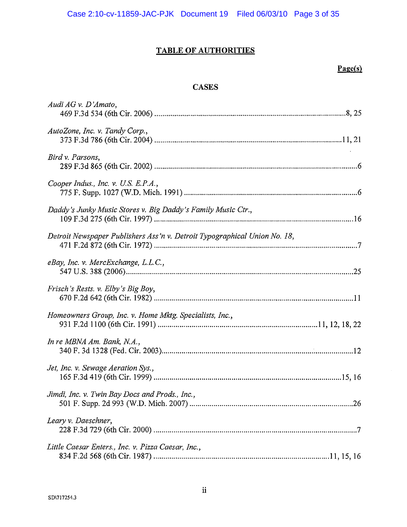# TABLE OF AUTHORITIES

# $\underline{Page(s)}$

## **CASES**

| Audi AG v. D'Amato,                                                       |
|---------------------------------------------------------------------------|
| AutoZone, Inc. v. Tandy Corp.,                                            |
| Bird v. Parsons,                                                          |
| Cooper Indus., Inc. v. U.S. E.P.A.,                                       |
| Daddy's Junky Music Stores v. Big Daddy's Family Music Ctr.,              |
| Detroit Newspaper Publishers Ass'n v. Detroit Typographical Union No. 18, |
| eBay, Inc. v. MercExchange, L.L.C.,                                       |
| Frisch's Rests. v. Elby's Big Boy,                                        |
| Homeowners Group, Inc. v. Home Mktg. Specialists, Inc.,                   |
| In re MBNA Am. Bank, N.A.,                                                |
| Jet, Inc. v. Sewage Aeration Sys.,                                        |
| Jimdi, Inc. v. Twin Bay Docs and Prods., Inc.,                            |
| Leary v. Daeschner,                                                       |
| Little Caesar Enters., Inc. v. Pizza Caesar, Inc.,                        |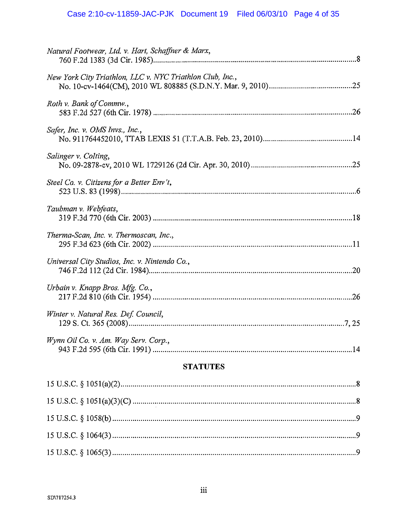| <b>STATUTES</b>                                           |  |  |  |
|-----------------------------------------------------------|--|--|--|
| Wynn Oil Co. v. Am. Way Serv. Corp.,                      |  |  |  |
| Winter v. Natural Res. Def. Council,                      |  |  |  |
| Urbain v. Knapp Bros. Mfg. Co.,                           |  |  |  |
| Universal City Studios, Inc. v. Nintendo Co.,             |  |  |  |
| Therma-Scan, Inc. v. Thermoscan, Inc.,                    |  |  |  |
| Taubman v. Webfeats,                                      |  |  |  |
| Steel Co. v. Citizens for a Better Env't,                 |  |  |  |
| Salinger v. Colting,                                      |  |  |  |
| Safer, Inc. v. OMS Invs., Inc.,                           |  |  |  |
| Roth v. Bank of Commw.,                                   |  |  |  |
| New York City Triathlon, LLC v. NYC Triathlon Club, Inc., |  |  |  |
| Natural Footwear, Ltd. v. Hart, Schaffner & Marx,         |  |  |  |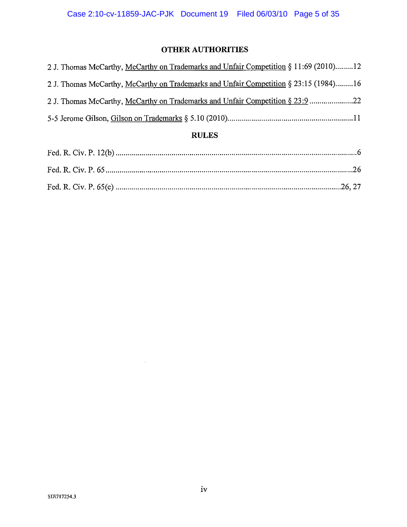# **OTHER AUTHORITIES**

| 21. Thomas McCarthy, McCarthy on Trademarks and Unfair Competition § 23:9 22         |
|--------------------------------------------------------------------------------------|
| 2 J. Thomas McCarthy, McCarthy on Trademarks and Unfair Competition § 23:15 (1984)16 |
| 2 J. Thomas McCarthy, McCarthy on Trademarks and Unfair Competition § 11:69 (2010)12 |

# **RULES**

 $\sim 10^{-1}$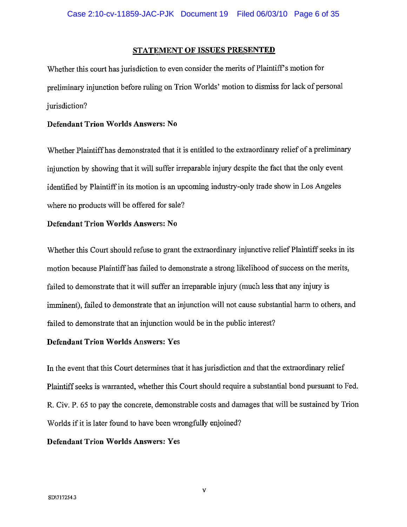### STATEMENT OF ISSUES PRESENTED

Whether this court has jurisdiction to even consider the merits of Plaintiff's motion for preliminary injunction before ruling on Trion Worlds' motion to dismiss for lack of personal jurisdiction?

### **Defendant Trion Worlds Answers: No**

Whether Plaintiff has demonstrated that it is entitled to the extraordinary relief of a preliminary injunction by showing that it will suffer irreparable injury despite the fact that the only event identified by Plaintiff in its motion is an upcoming industry-only trade show in Los Angeles where no products will be offered for sale?

### **Defendant Trion Worlds Answers: No**

Whether this Court should refuse to grant the extraordinary injunctive relief Plaintiff seeks in its motion because Plaintiff has failed to demonstrate a strong likelihood of success on the merits, failed to demonstrate that it will suffer an irreparable injury (much less that any injury is imminent), failed to demonstrate that an injunction will not cause substantial harm to others, and failed to demonstrate that an injunction would be in the public interest?

### **Defendant Trion Worlds Answers: Yes**

In the event that this Court determines that it has jurisdiction and that the extraordinary relief Plaintiff seeks is warranted, whether this Court should require a substantial bond pursuant to Fed. R. Civ. P. 65 to pay the concrete, demonstrable costs and damages that will be sustained by Trion Worlds if it is later found to have been wrongfully enjoined?

### **Defendant Trion Worlds Answers: Yes**

 $\mathbf{V}$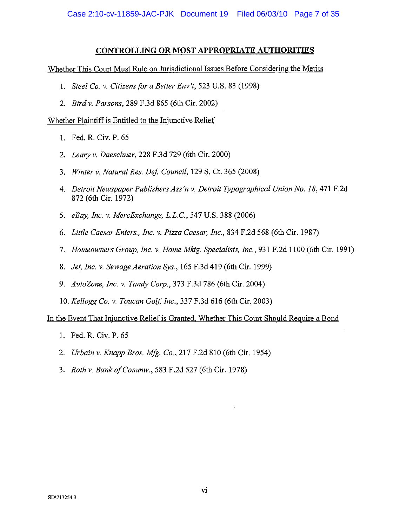### CONTROLLING OR MOST APPROPRIATE AUTHORITIES

Whether This Court Must Rule on Jurisdictional Issues Before Considering the Merits

- 1. Steel Co. v. Citizens for a Better Env't, 523 U.S. 83 (1998)
- 2. Bird v. Parsons, 289 F.3d 865 (6th Cir. 2002)

Whether Plaintiff is Entitled to the Injunctive Relief

- 1. Fed. R. Civ. P. 65
- 2. Leary v. Daeschner, 228 F.3d 729 (6th Cir. 2000)
- 3. Winter v. Natural Res. Def. Council, 129 S. Ct. 365 (2008)
- 4. Detroit Newspaper Publishers Ass'n v. Detroit Typographical Union No. 18, 471 F.2d 872 (6th Cir. 1972)
- 5. eBay, Inc. v. MercExchange, L.L.C., 547 U.S. 388 (2006)
- 6. Little Caesar Enters., Inc. v. Pizza Caesar, Inc., 834 F.2d 568 (6th Cir. 1987)
- 7. Homeowners Group, Inc. v. Home Mktg. Specialists, Inc., 931 F.2d 1100 (6th Cir. 1991)
- 8. *Jet, Inc. v. Sewage Aeration Sys.*, 165 F.3d 419 (6th Cir. 1999)
- 9. AutoZone, Inc. v. Tandy Corp., 373 F.3d 786 (6th Cir. 2004)
- 10. Kellogg Co. v. Toucan Golf, Inc., 337 F.3d 616 (6th Cir. 2003)

In the Event That Injunctive Relief is Granted, Whether This Court Should Require a Bond

- 1. Fed. R. Civ. P. 65
- 2. *Urbain v. Knapp Bros. Mfg. Co.*, 217 F.2d 810 (6th Cir. 1954)
- 3. Roth v. Bank of Commw., 583 F.2d 527 (6th Cir. 1978)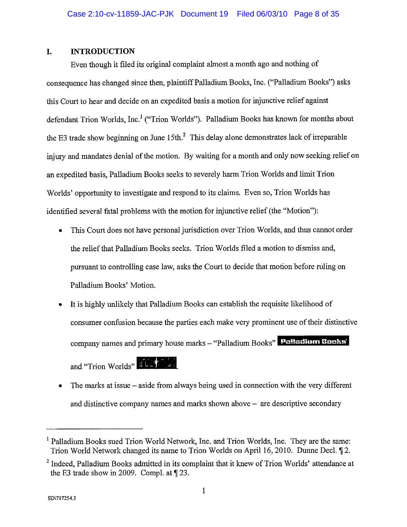#### L. **INTRODUCTION**

Even though it filed its original complaint almost a month ago and nothing of consequence has changed since then, plaintiff Palladium Books, Inc. ("Palladium Books") asks this Court to hear and decide on an expedited basis a motion for injunctive relief against defendant Trion Worlds, Inc.<sup>1</sup> ("Trion Worlds"). Palladium Books has known for months about the E3 trade show beginning on June 15th.<sup>2</sup> This delay alone demonstrates lack of irreparable injury and mandates denial of the motion. By waiting for a month and only now seeking relief on an expedited basis, Palladium Books seeks to severely harm Trion Worlds and limit Trion Worlds' opportunity to investigate and respond to its claims. Even so, Trion Worlds has identified several fatal problems with the motion for injunctive relief (the "Motion"):

- This Court does not have personal jurisdiction over Trion Worlds, and thus cannot order the relief that Palladium Books seeks. Trion Worlds filed a motion to dismiss and, pursuant to controlling case law, asks the Court to decide that motion before ruling on Palladium Books' Motion.
- It is highly unlikely that Palladium Books can establish the requisite likelihood of consumer confusion because the parties each make very prominent use of their distinctive company names and primary house marks - "Palladium Books" Palladium Books and "Trion Worlds" ULSA The

The marks at issue – aside from always being used in connection with the very different and distinctive company names and marks shown above  $-$  are descriptive secondary

<sup>&</sup>lt;sup>1</sup> Palladium Books sued Trion World Network, Inc. and Trion Worlds, Inc. They are the same: Trion World Network changed its name to Trion Worlds on April 16, 2010. Dunne Decl. 12.

<sup>&</sup>lt;sup>2</sup> Indeed, Palladium Books admitted in its complaint that it knew of Trion Worlds' attendance at the E3 trade show in 2009. Compl. at  $\P$  23.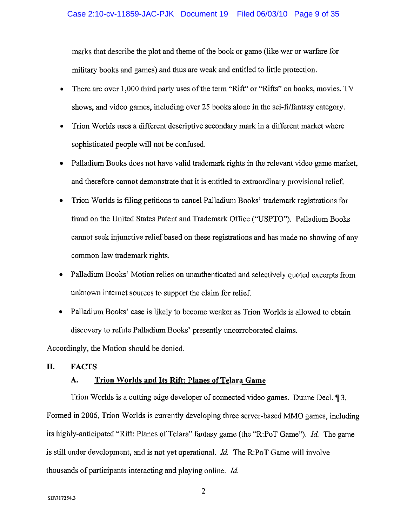marks that describe the plot and theme of the book or game (like war or warfare for military books and games) and thus are weak and entitled to little protection.

- There are over 1,000 third party uses of the term "Rift" or "Rifts" on books, movies, TV shows, and video games, including over 25 books alone in the sci-fi/fantasy category.
- Trion Worlds uses a different descriptive secondary mark in a different market where sophisticated people will not be confused.
- Palladium Books does not have valid trademark rights in the relevant video game market, and therefore cannot demonstrate that it is entitled to extraordinary provisional relief.
- Trion Worlds is filing petitions to cancel Palladium Books' trademark registrations for fraud on the United States Patent and Trademark Office ("USPTO"). Palladium Books cannot seek injunctive relief based on these registrations and has made no showing of any common law trademark rights.
- Palladium Books' Motion relies on unauthenticated and selectively quoted excerpts from unknown internet sources to support the claim for relief.
- Palladium Books' case is likely to become weaker as Trion Worlds is allowed to obtain discovery to refute Palladium Books' presently uncorroborated claims.

Accordingly, the Motion should be denied.

#### П. **FACTS**

#### Trion Worlds and Its Rift: Planes of Telara Game А.

Trion Worlds is a cutting edge developer of connected video games. Dunne Decl. 13. Formed in 2006, Trion Worlds is currently developing three server-based MMO games, including its highly-anticipated "Rift: Planes of Telara" fantasy game (the "R:PoT Game"). Id. The game is still under development, and is not yet operational. *Id.* The R:PoT Game will involve thousands of participants interacting and playing online. Id.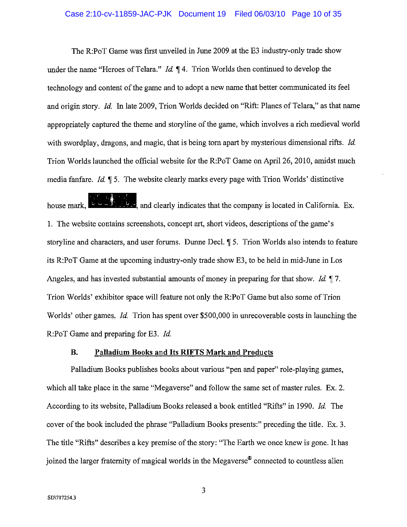### Case 2:10-cv-11859-JAC-PJK Document 19 Filed 06/03/10 Page 10 of 35

The R:PoT Game was first unveiled in June 2009 at the E3 industry-only trade show under the name "Heroes of Telara." *Id.* 14. Trion Worlds then continued to develop the technology and content of the game and to adopt a new name that better communicated its feel and origin story. Id. In late 2009, Trion Worlds decided on "Rift: Planes of Telara," as that name appropriately captured the theme and storyline of the game, which involves a rich medieval world with swordplay, dragons, and magic, that is being torn apart by mysterious dimensional rifts. Id. Trion Worlds launched the official website for the R:PoT Game on April 26, 2010, amidst much media fanfare. Id. 15. The website clearly marks every page with Trion Worlds' distinctive

ti ali  $\mathbb{R}$  and clearly indicates that the company is located in California. Ex. house mark, l 1. The website contains screenshots, concept art, short videos, descriptions of the game's storyline and characters, and user forums. Dunne Decl. 15. Trion Worlds also intends to feature its R:PoT Game at the upcoming industry-only trade show E3, to be held in mid-June in Los Angeles, and has invested substantial amounts of money in preparing for that show. *Id.*  $\P$ 7. Trion Worlds' exhibitor space will feature not only the R:PoT Game but also some of Trion Worlds' other games. *Id.* Trion has spent over \$500,000 in unrecoverable costs in launching the R:PoT Game and preparing for E3. Id.

#### **B.** Palladium Books and Its RIFTS Mark and Products

Palladium Books publishes books about various "pen and paper" role-playing games, which all take place in the same "Megaverse" and follow the same set of master rules. Ex. 2. According to its website, Palladium Books released a book entitled "Rifts" in 1990. Id. The cover of the book included the phrase "Palladium Books presents:" preceding the title. Ex. 3. The title "Rifts" describes a key premise of the story: "The Earth we once knew is gone. It has joined the larger fraternity of magical worlds in the Megaverse<sup>®</sup> connected to countless alien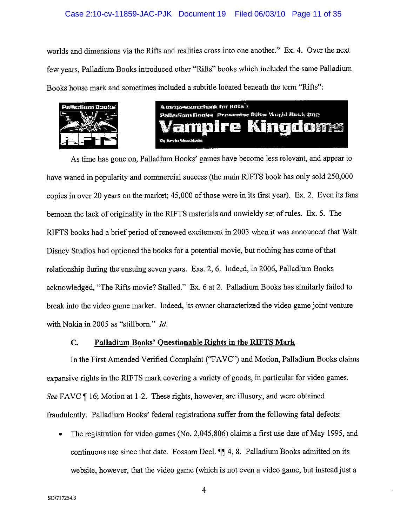### Case 2:10-cv-11859-JAC-PJK Document 19 Filed 06/03/10 Page 11 of 35

worlds and dimensions via the Rifts and realities cross into one another." Ex. 4. Over the next few years, Palladium Books introduced other "Rifts" books which included the same Palladium Books house mark and sometimes included a subtitle located beneath the term "Rifts":





As time has gone on, Palladium Books' games have become less relevant, and appear to have waned in popularity and commercial success (the main RIFTS book has only sold 250,000 copies in over 20 years on the market; 45,000 of those were in its first year). Ex. 2. Even its fans bemoan the lack of originality in the RIFTS materials and unwieldy set of rules. Ex. 5. The RIFTS books had a brief period of renewed excitement in 2003 when it was announced that Walt Disney Studios had optioned the books for a potential movie, but nothing has come of that relationship during the ensuing seven years. Exs. 2, 6. Indeed, in 2006, Palladium Books acknowledged, "The Rifts movie? Stalled." Ex. 6 at 2. Palladium Books has similarly failed to break into the video game market. Indeed, its owner characterized the video game joint venture with Nokia in 2005 as "stillborn." Id.

#### Palladium Books' Ouestionable Rights in the RIFTS Mark C.

In the First Amended Verified Complaint ("FAVC") and Motion, Palladium Books claims expansive rights in the RIFTS mark covering a variety of goods, in particular for video games. See FAVC ¶ 16; Motion at 1-2. These rights, however, are illusory, and were obtained fraudulently. Palladium Books' federal registrations suffer from the following fatal defects:

The registration for video games (No. 2,045,806) claims a first use date of May 1995, and continuous use since that date. Fossum Decl. ¶¶ 4, 8. Palladium Books admitted on its website, however, that the video game (which is not even a video game, but instead just a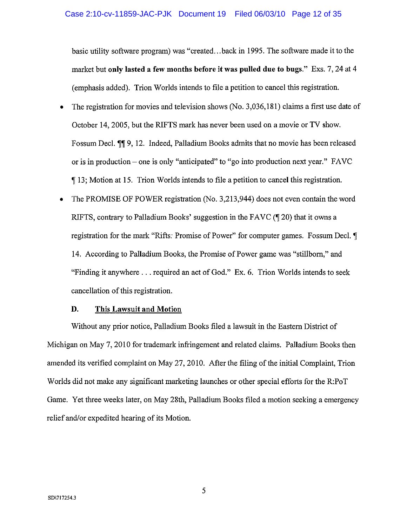basic utility software program) was "created...back in 1995. The software made it to the market but only lasted a few months before it was pulled due to bugs." Exs. 7, 24 at 4 (emphasis added). Trion Worlds intends to file a petition to cancel this registration.

- The registration for movies and television shows (No. 3,036,181) claims a first use date of  $\bullet$ October 14, 2005, but the RIFTS mark has never been used on a movie or TV show. Fossum Decl. II 9, 12. Indeed, Palladium Books admits that no movie has been released or is in production – one is only "anticipated" to "go into production next year." FAVC 13; Motion at 15. Trion Worlds intends to file a petition to cancel this registration.
- The PROMISE OF POWER registration (No. 3.213.944) does not even contain the word RIFTS, contrary to Palladium Books' suggestion in the FAVC (¶ 20) that it owns a registration for the mark "Rifts: Promise of Power" for computer games. Fossum Decl, ¶ 14. According to Palladium Books, the Promise of Power game was "stillborn," and "Finding it anywhere . . . required an act of God." Ex. 6. Trion Worlds intends to seek cancellation of this registration.

#### D. This Lawsuit and Motion

Without any prior notice, Palladium Books filed a lawsuit in the Eastern District of Michigan on May 7, 2010 for trademark infringement and related claims. Palladium Books then amended its verified complaint on May 27, 2010. After the filing of the initial Complaint, Trion Worlds did not make any significant marketing launches or other special efforts for the R:PoT Game. Yet three weeks later, on May 28th, Palladium Books filed a motion seeking a emergency relief and/or expedited hearing of its Motion.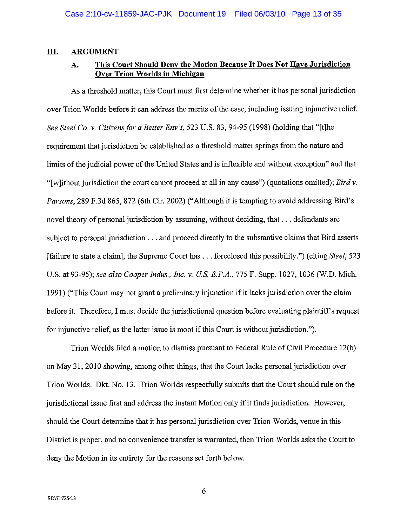#### III. **ARGUMENT**

#### This Court Should Deny the Motion Because It Does Not Have Jurisdiction А. **Over Trion Worlds in Michigan**

As a threshold matter, this Court must first determine whether it has personal jurisdiction over Trion Worlds before it can address the merits of the case, including issuing injunctive relief. See Steel Co. v. Citizens for a Better Env't, 523 U.S. 83, 94-95 (1998) (holding that "[t]he requirement that jurisdiction be established as a threshold matter springs from the nature and limits of the judicial power of the United States and is inflexible and without exception" and that "[w]ithout jurisdiction the court cannot proceed at all in any cause") (quotations omitted); Bird v. Parsons, 289 F.3d 865, 872 (6th Cir. 2002) ("Although it is tempting to avoid addressing Bird's novel theory of personal jurisdiction by assuming, without deciding, that ... defendants are subject to personal jurisdiction . . . and proceed directly to the substantive claims that Bird asserts [failure to state a claim], the Supreme Court has . . . foreclosed this possibility.") (citing Steel, 523 U.S. at 93-95); see also Cooper Indus., Inc. v. U.S. E.P.A., 775 F. Supp. 1027, 1036 (W.D. Mich. 1991) ("This Court may not grant a preliminary injunction if it lacks jurisdiction over the claim before it. Therefore, I must decide the jurisdictional question before evaluating plaintiff's request for injunctive relief, as the latter issue is moot if this Court is without jurisdiction.").

Trion Worlds filed a motion to dismiss pursuant to Federal Rule of Civil Procedure 12(b) on May 31, 2010 showing, among other things, that the Court lacks personal jurisdiction over Trion Worlds. Dkt. No. 13. Trion Worlds respectfully submits that the Court should rule on the jurisdictional issue first and address the instant Motion only if it finds jurisdiction. However, should the Court determine that it has personal jurisdiction over Trion Worlds, venue in this District is proper, and no convenience transfer is warranted, then Trion Worlds asks the Court to deny the Motion in its entirety for the reasons set forth below.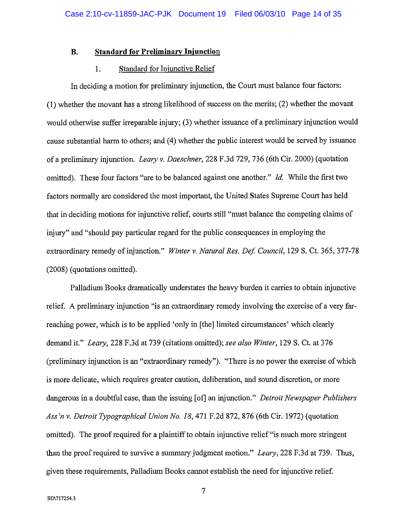#### **Standard for Preliminary Injunction B.**

#### Standard for Injunctive Relief 1.

In deciding a motion for preliminary injunction, the Court must balance four factors: (1) whether the movant has a strong likelihood of success on the merits; (2) whether the movant would otherwise suffer irreparable injury; (3) whether issuance of a preliminary injunction would cause substantial harm to others; and (4) whether the public interest would be served by issuance of a preliminary injunction. Leary v. Daeschner, 228 F.3d 729, 736 (6th Cir. 2000) (quotation omitted). These four factors "are to be balanced against one another." Id. While the first two factors normally are considered the most important, the United States Supreme Court has held that in deciding motions for injunctive relief, courts still "must balance the competing claims of injury" and "should pay particular regard for the public consequences in employing the extraordinary remedy of injunction." Winter v. Natural Res. Def. Council, 129 S. Ct. 365, 377-78 (2008) (quotations omitted).

Palladium Books dramatically understates the heavy burden it carries to obtain injunctive relief. A preliminary injunction "is an extraordinary remedy involving the exercise of a very farreaching power, which is to be applied 'only in [the] limited circumstances' which clearly demand it." Leary, 228 F.3d at 739 (citations omitted); see also Winter, 129 S. Ct. at 376 (preliminary injunction is an "extraordinary remedy"). "There is no power the exercise of which is more delicate, which requires greater caution, deliberation, and sound discretion, or more dangerous in a doubtful case, than the issuing [of] an injunction." Detroit Newspaper Publishers Ass'n v. Detroit Typographical Union No. 18, 471 F.2d 872, 876 (6th Cir. 1972) (quotation omitted). The proof required for a plaintiff to obtain injunctive relief "is much more stringent than the proof required to survive a summary judgment motion." Leary, 228 F.3d at 739. Thus, given these requirements, Palladium Books cannot establish the need for injunctive relief.

 $\overline{7}$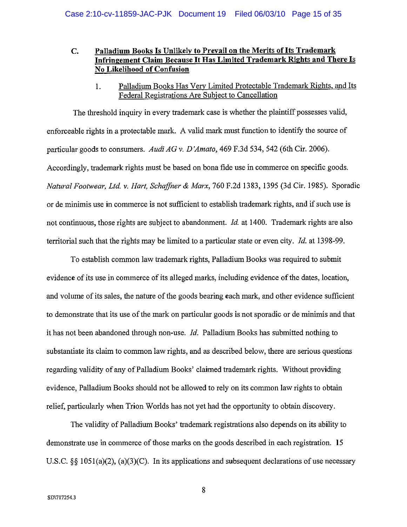### Palladium Books Is Unlikely to Prevail on the Merits of Its Trademark  $C_{\bullet}$ Infringement Claim Because It Has Limited Trademark Rights and There Is No Likelihood of Confusion

Palladium Books Has Very Limited Protectable Trademark Rights, and Its  $\mathbf{1}$ . Federal Registrations Are Subject to Cancellation

The threshold inquiry in every trademark case is whether the plaintiff possesses valid, enforceable rights in a protectable mark. A valid mark must function to identify the source of particular goods to consumers. Audi AG v. D'Amato, 469 F.3d 534, 542 (6th Cir. 2006). Accordingly, trademark rights must be based on bona fide use in commerce on specific goods. Natural Footwear, Ltd. v. Hart, Schaffner & Marx, 760 F.2d 1383, 1395 (3d Cir. 1985). Sporadic or de minimis use in commerce is not sufficient to establish trademark rights, and if such use is not continuous, those rights are subject to abandonment. *Id.* at 1400. Trademark rights are also territorial such that the rights may be limited to a particular state or even city. *Id.* at 1398-99.

To establish common law trademark rights, Palladium Books was required to submit evidence of its use in commerce of its alleged marks, including evidence of the dates, location, and volume of its sales, the nature of the goods bearing each mark, and other evidence sufficient to demonstrate that its use of the mark on particular goods is not sporadic or de minimis and that it has not been abandoned through non-use. Id. Palladium Books has submitted nothing to substantiate its claim to common law rights, and as described below, there are serious questions regarding validity of any of Palladium Books' claimed trademark rights. Without providing evidence, Palladium Books should not be allowed to rely on its common law rights to obtain relief, particularly when Trion Worlds has not yet had the opportunity to obtain discovery.

The validity of Palladium Books' trademark registrations also depends on its ability to demonstrate use in commerce of those marks on the goods described in each registration. 15 U.S.C. §§ 1051(a)(2), (a)(3)(C). In its applications and subsequent declarations of use necessary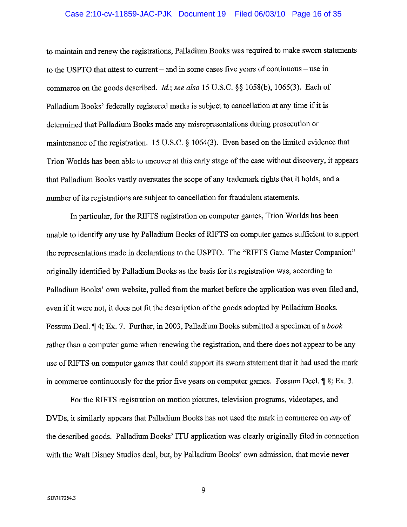### Case 2:10-cv-11859-JAC-PJK Document 19 Filed 06/03/10 Page 16 of 35

to maintain and renew the registrations, Palladium Books was required to make sworn statements to the USPTO that attest to current – and in some cases five years of continuous – use in commerce on the goods described. *Id.*; see also 15 U.S.C. §§ 1058(b), 1065(3). Each of Palladium Books' federally registered marks is subject to cancellation at any time if it is determined that Palladium Books made any misrepresentations during prosecution or maintenance of the registration. 15 U.S.C. § 1064(3). Even based on the limited evidence that Trion Worlds has been able to uncover at this early stage of the case without discovery, it appears that Palladium Books vastly overstates the scope of any trademark rights that it holds, and a number of its registrations are subject to cancellation for fraudulent statements.

In particular, for the RIFTS registration on computer games, Trion Worlds has been unable to identify any use by Palladium Books of RIFTS on computer games sufficient to support the representations made in declarations to the USPTO. The "RIFTS Game Master Companion" originally identified by Palladium Books as the basis for its registration was, according to Palladium Books' own website, pulled from the market before the application was even filed and, even if it were not, it does not fit the description of the goods adopted by Palladium Books. Fossum Decl. ¶ 4; Ex. 7. Further, in 2003, Palladium Books submitted a specimen of a book rather than a computer game when renewing the registration, and there does not appear to be any use of RIFTS on computer games that could support its sworn statement that it had used the mark in commerce continuously for the prior five years on computer games. Fossum Decl.  $\parallel$  8; Ex. 3.

For the RIFTS registration on motion pictures, television programs, videotapes, and DVDs, it similarly appears that Palladium Books has not used the mark in commerce on *any* of the described goods. Palladium Books' ITU application was clearly originally filed in connection with the Walt Disney Studios deal, but, by Palladium Books' own admission, that movie never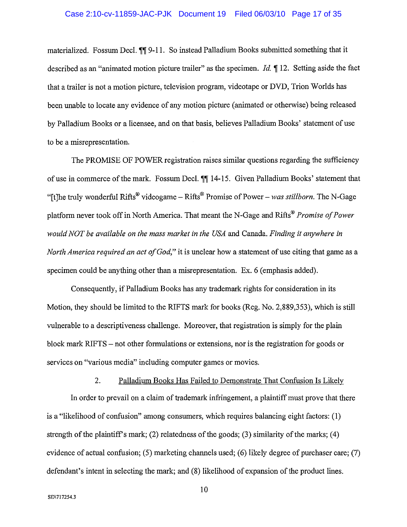### Case 2:10-cv-11859-JAC-PJK Document 19 Filed 06/03/10 Page 17 of 35

materialized. Fossum Decl. 11 9-11. So instead Palladium Books submitted something that it described as an "animated motion picture trailer" as the specimen. *Id.*  $\parallel$  12. Setting aside the fact that a trailer is not a motion picture, television program, videotape or DVD, Trion Worlds has been unable to locate any evidence of any motion picture (animated or otherwise) being released by Palladium Books or a licensee, and on that basis, believes Palladium Books' statement of use to be a misrepresentation.

The PROMISE OF POWER registration raises similar questions regarding the sufficiency of use in commerce of the mark. Fossum Decl. ¶ 14-15. Given Palladium Books' statement that "[t]he truly wonderful Rifts<sup>®</sup> videogame – Rifts<sup>®</sup> Promise of Power – was stillborn. The N-Gage platform never took off in North America. That meant the N-Gage and Rifts<sup>®</sup> Promise of Power would NOT be available on the mass market in the USA and Canada. Finding it anywhere in *North America required an act of God*," it is unclear how a statement of use citing that game as a specimen could be anything other than a misrepresentation. Ex. 6 (emphasis added).

Consequently, if Palladium Books has any trademark rights for consideration in its Motion, they should be limited to the RIFTS mark for books (Reg. No. 2,889,353), which is still vulnerable to a descriptiveness challenge. Moreover, that registration is simply for the plain block mark RIFTS – not other formulations or extensions, nor is the registration for goods or services on "various media" including computer games or movies.

In order to prevail on a claim of trademark infringement, a plaintiff must prove that there is a "likelihood of confusion" among consumers, which requires balancing eight factors:  $(1)$ strength of the plaintiff's mark; (2) relatedness of the goods; (3) similarity of the marks; (4) evidence of actual confusion; (5) marketing channels used; (6) likely degree of purchaser care; (7) defendant's intent in selecting the mark; and (8) likelihood of expansion of the product lines.

Palladium Books Has Failed to Demonstrate That Confusion Is Likely

 $2.$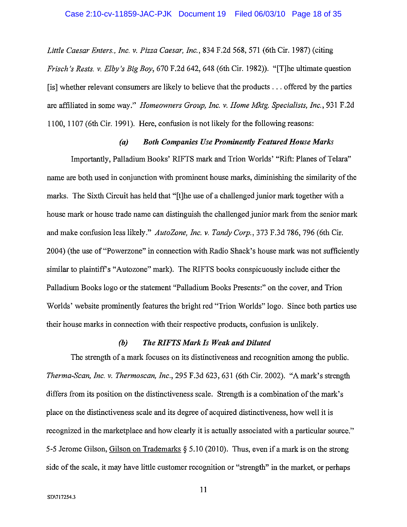### Case 2:10-cv-11859-JAC-PJK Document 19 Filed 06/03/10 Page 18 of 35

Little Caesar Enters., Inc. v. Pizza Caesar, Inc., 834 F.2d 568, 571 (6th Cir. 1987) (citing *Frisch's Rests. v. Elby's Big Boy,* 670 F.2d 642, 648 (6th Cir. 1982)). "[T] he ultimate question [is] whether relevant consumers are likely to believe that the products ... offered by the parties are affiliated in some way." Homeowners Group, Inc. v. Home Mktg. Specialists, Inc., 931 F.2d 1100, 1107 (6th Cir. 1991). Here, confusion is not likely for the following reasons:

#### **Both Companies Use Prominently Featured House Marks**  $(a)$

Importantly, Palladium Books' RIFTS mark and Trion Worlds' "Rift: Planes of Telara" name are both used in conjunction with prominent house marks, diminishing the similarity of the marks. The Sixth Circuit has held that "[t] he use of a challenged junior mark together with a house mark or house trade name can distinguish the challenged junior mark from the senior mark and make confusion less likely." AutoZone, Inc. v. Tandy Corp., 373 F.3d 786, 796 (6th Cir. 2004) (the use of "Powerzone" in connection with Radio Shack's house mark was not sufficiently similar to plaintiff's "Autozone" mark). The RIFTS books conspicuously include either the Palladium Books logo or the statement "Palladium Books Presents:" on the cover, and Trion Worlds' website prominently features the bright red "Trion Worlds" logo. Since both parties use their house marks in connection with their respective products, confusion is unlikely.

#### $(b)$ The RIFTS Mark Is Weak and Diluted

The strength of a mark focuses on its distinctiveness and recognition among the public. Therma-Scan, Inc. v. Thermoscan, Inc., 295 F.3d 623, 631 (6th Cir. 2002). "A mark's strength differs from its position on the distinctiveness scale. Strength is a combination of the mark's place on the distinctiveness scale and its degree of acquired distinctiveness, how well it is recognized in the marketplace and how clearly it is actually associated with a particular source." 5-5 Jerome Gilson, Gilson on Trademarks  $\S$  5.10 (2010). Thus, even if a mark is on the strong side of the scale, it may have little customer recognition or "strength" in the market, or perhaps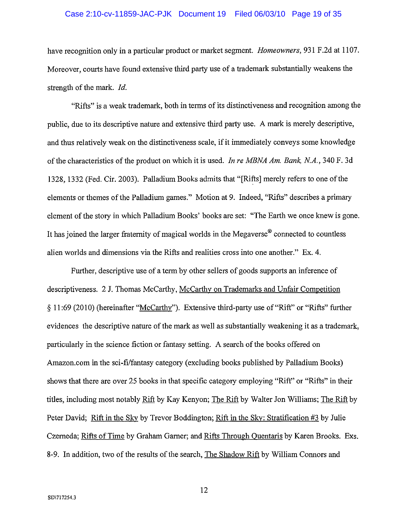### Case 2:10-cv-11859-JAC-PJK Document 19 Filed 06/03/10 Page 19 of 35

have recognition only in a particular product or market segment. *Homeowners*, 931 F.2d at 1107. Moreover, courts have found extensive third party use of a trademark substantially weakens the strength of the mark. Id.

"Rifts" is a weak trademark, both in terms of its distinctiveness and recognition among the public, due to its descriptive nature and extensive third party use. A mark is merely descriptive, and thus relatively weak on the distinctiveness scale, if it immediately conveys some knowledge of the characteristics of the product on which it is used. In re MBNA Am. Bank, N.A., 340 F. 3d 1328, 1332 (Fed. Cir. 2003). Palladium Books admits that "[Rifts] merely refers to one of the elements or themes of the Palladium games." Motion at 9. Indeed, "Rifts" describes a primary element of the story in which Palladium Books' books are set: "The Earth we once knew is gone. It has joined the larger fraternity of magical worlds in the Megaverse<sup>®</sup> connected to countless alien worlds and dimensions via the Rifts and realities cross into one another." Ex. 4.

Further, descriptive use of a term by other sellers of goods supports an inference of descriptiveness. 2 J. Thomas McCarthy, McCarthy on Trademarks and Unfair Competition § 11:69 (2010) (hereinafter "McCarthy"). Extensive third-party use of "Rift" or "Rifts" further evidences the descriptive nature of the mark as well as substantially weakening it as a trademark, particularly in the science fiction or fantasy setting. A search of the books offered on Amazon.com in the sci-fi/fantasy category (excluding books published by Palladium Books) shows that there are over 25 books in that specific category employing "Rift" or "Rifts" in their titles, including most notably Rift by Kay Kenyon; The Rift by Walter Jon Williams; The Rift by Peter David; Rift in the Sky by Trevor Boddington; Rift in the Sky: Stratification #3 by Julie Czerneda; Rifts of Time by Graham Garner; and Rifts Through Quentaris by Karen Brooks. Exs. 8-9. In addition, two of the results of the search, The Shadow Rift by William Connors and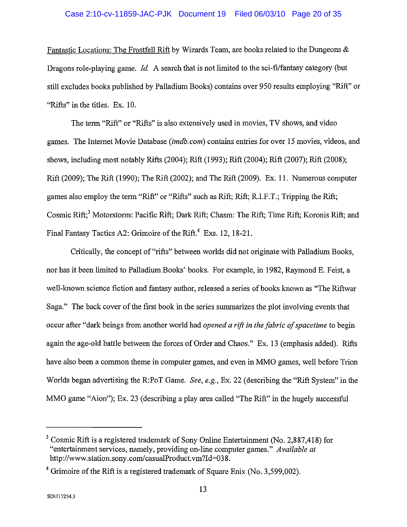### Case 2:10-cv-11859-JAC-PJK Document 19 Filed 06/03/10 Page 20 of 35

Fantastic Locations: The Frostfell Rift by Wizards Team, are books related to the Dungeons & Dragons role-playing game. Id. A search that is not limited to the sci-fi/fantasy category (but still excludes books published by Palladium Books) contains over 950 results employing "Rift" or "Rifts" in the titles. Ex. 10.

The term "Rift" or "Rifts" is also extensively used in movies, TV shows, and video games. The Internet Movie Database (imdb.com) contains entries for over 15 movies, videos, and shows, including most notably Rifts (2004); Rift (1993); Rift (2004); Rift (2007); Rift (2008); Rift (2009); The Rift (1990); The Rift (2002); and The Rift (2009). Ex. 11. Numerous computer games also employ the term "Rift" or "Rifts" such as Rift; Rift; R.I.F.T.; Tripping the Rift; Cosmic Rift;<sup>3</sup> Motorstorm: Pacific Rift; Dark Rift; Chasm: The Rift; Time Rift; Koronis Rift; and Final Fantasy Tactics A2: Grimoire of the Rift.<sup>4</sup> Exs. 12, 18-21.

Critically, the concept of "rifts" between worlds did not originate with Palladium Books, nor has it been limited to Palladium Books' books. For example, in 1982, Raymond E. Feist, a well-known science fiction and fantasy author, released a series of books known as "The Riftwar Saga." The back cover of the first book in the series summarizes the plot involving events that occur after "dark beings from another world had *opened a rift in the fabric of spacetime* to begin again the age-old battle between the forces of Order and Chaos." Ex. 13 (emphasis added). Rifts have also been a common theme in computer games, and even in MMO games, well before Trion Worlds began advertising the R:PoT Game. See, e.g., Ex. 22 (describing the "Rift System" in the MMO game "Aion"); Ex. 23 (describing a play area called "The Rift" in the hugely successful

 $3$  Cosmic Rift is a registered trademark of Sony Online Entertainment (No. 2,887,418) for "entertainment services, namely, providing on-line computer games." Available at http://www.station.sony.com/casualProduct.vm?Id=038.

 $4$  Grimoire of the Rift is a registered trademark of Square Enix (No. 3,599,002).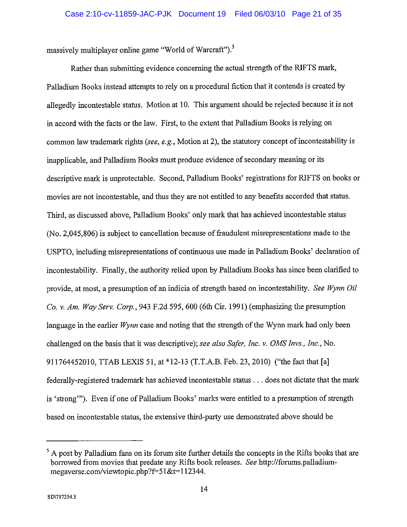massively multiplayer online game "World of Warcraft").<sup>5</sup>

Rather than submitting evidence concerning the actual strength of the RIFTS mark, Palladium Books instead attempts to rely on a procedural fiction that it contends is created by allegedly incontestable status. Motion at 10. This argument should be rejected because it is not in accord with the facts or the law. First, to the extent that Palladium Books is relying on common law trademark rights (see, e.g., Motion at 2), the statutory concept of incontestability is inapplicable, and Palladium Books must produce evidence of secondary meaning or its descriptive mark is unprotectable. Second, Palladium Books' registrations for RIFTS on books or movies are not incontestable, and thus they are not entitled to any benefits accorded that status. Third, as discussed above, Palladium Books' only mark that has achieved incontestable status (No. 2,045,806) is subject to cancellation because of fraudulent misrepresentations made to the USPTO, including misrepresentations of continuous use made in Palladium Books' declaration of incontestability. Finally, the authority relied upon by Palladium Books has since been clarified to provide, at most, a presumption of an indicia of strength based on incontestability. See Wynn Oil Co. v. Am. Way Serv. Corp., 943 F.2d 595, 600 (6th Cir. 1991) (emphasizing the presumption language in the earlier  $Wynn$  case and noting that the strength of the Wynn mark had only been challenged on the basis that it was descriptive); see also Safer, Inc. v. OMS Invs., Inc., No. 911764452010, TTAB LEXIS 51, at \*12-13 (T.T.A.B. Feb. 23, 2010) ("the fact that [a] federally-registered trademark has achieved incontestable status . . . does not dictate that the mark is 'strong'"). Even if one of Palladium Books' marks were entitled to a presumption of strength based on incontestable status, the extensive third-party use demonstrated above should be

<sup>&</sup>lt;sup>5</sup> A post by Palladium fans on its forum site further details the concepts in the Rifts books that are borrowed from movies that predate any Rifts book releases. See http://forums.palladiummegaverse.com/viewtopic.php?f=51&t=112344.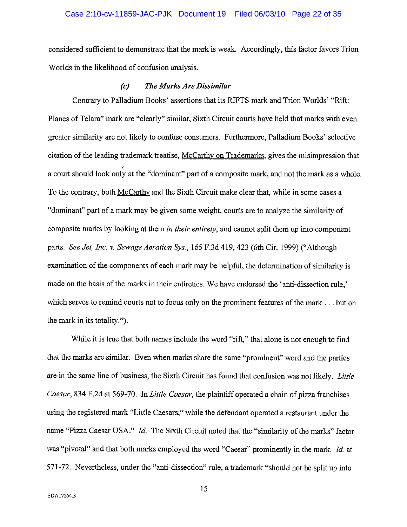### Case 2:10-cv-11859-JAC-PJK Document 19 Filed 06/03/10 Page 22 of 35

considered sufficient to demonstrate that the mark is weak. Accordingly, this factor favors Trion Worlds in the likelihood of confusion analysis.

#### **The Marks Are Dissimilar**  $\left( c\right)$

Contrary to Palladium Books' assertions that its RIFTS mark and Trion Worlds' "Rift: Planes of Telara" mark are "clearly" similar, Sixth Circuit courts have held that marks with even greater similarity are not likely to confuse consumers. Furthermore, Palladium Books' selective citation of the leading trademark treatise, McCarthy on Trademarks, gives the misimpression that a court should look only at the "dominant" part of a composite mark, and not the mark as a whole. To the contrary, both McCarthy and the Sixth Circuit make clear that, while in some cases a "dominant" part of a mark may be given some weight, courts are to analyze the similarity of composite marks by looking at them *in their entirety*, and cannot split them up into component parts. See Jet, Inc. v. Sewage Aeration Sys., 165 F.3d 419, 423 (6th Cir. 1999) ("Although examination of the components of each mark may be helpful, the determination of similarity is made on the basis of the marks in their entireties. We have endorsed the 'anti-dissection rule,' which serves to remind courts not to focus only on the prominent features of the mark . . . but on the mark in its totality.").

While it is true that both names include the word "rift," that alone is not enough to find that the marks are similar. Even when marks share the same "prominent" word and the parties are in the same line of business, the Sixth Circuit has found that confusion was not likely. Little Caesar, 834 F.2d at 569-70. In Little Caesar, the plaintiff operated a chain of pizza franchises using the registered mark "Little Caesars," while the defendant operated a restaurant under the name "Pizza Caesar USA." Id. The Sixth Circuit noted that the "similarity of the marks" factor was "pivotal" and that both marks employed the word "Caesar" prominently in the mark. Id. at 571-72. Nevertheless, under the "anti-dissection" rule, a trademark "should not be split up into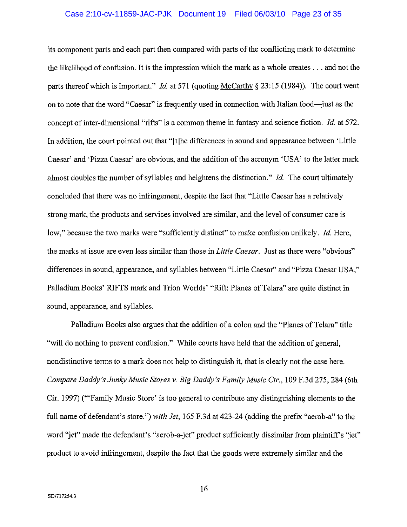### Case 2:10-cv-11859-JAC-PJK Document 19 Filed 06/03/10 Page 23 of 35

its component parts and each part then compared with parts of the conflicting mark to determine the likelihood of confusion. It is the impression which the mark as a whole creates  $\dots$  and not the parts thereof which is important." *Id.* at 571 (quoting McCarthy  $\S$  23:15 (1984)). The court went on to note that the word "Caesar" is frequently used in connection with Italian food—just as the concept of inter-dimensional "rifts" is a common theme in fantasy and science fiction. *Id.* at 572. In addition, the court pointed out that "[t] he differences in sound and appearance between 'Little Caesar' and 'Pizza Caesar' are obvious, and the addition of the acronym 'USA' to the latter mark almost doubles the number of syllables and heightens the distinction." Id. The court ultimately concluded that there was no infringement, despite the fact that "Little Caesar has a relatively strong mark, the products and services involved are similar, and the level of consumer care is low," because the two marks were "sufficiently distinct" to make confusion unlikely. *Id.* Here, the marks at issue are even less similar than those in Little Caesar. Just as there were "obvious" differences in sound, appearance, and syllables between "Little Caesar" and "Pizza Caesar USA," Palladium Books' RIFTS mark and Trion Worlds' "Rift: Planes of Telara" are quite distinct in sound, appearance, and syllables.

Palladium Books also argues that the addition of a colon and the "Planes of Telara" title "will do nothing to prevent confusion." While courts have held that the addition of general, nondistinctive terms to a mark does not help to distinguish it, that is clearly not the case here. Compare Daddy's Junky Music Stores v. Big Daddy's Family Music Ctr., 109 F.3d 275, 284 (6th Cir. 1997) ("Family Music Store' is too general to contribute any distinguishing elements to the full name of defendant's store.") with Jet, 165 F.3d at 423-24 (adding the prefix "aerob-a" to the word "jet" made the defendant's "aerob-a-jet" product sufficiently dissimilar from plaintiff's "jet" product to avoid infringement, despite the fact that the goods were extremely similar and the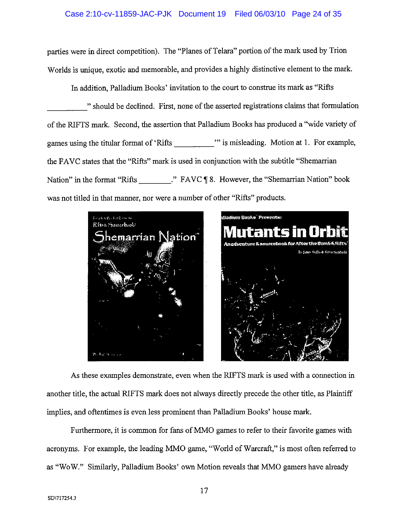### Case 2:10-cv-11859-JAC-PJK Document 19 Filed 06/03/10 Page 24 of 35

parties were in direct competition). The "Planes of Telara" portion of the mark used by Trion Worlds is unique, exotic and memorable, and provides a highly distinctive element to the mark.

In addition, Palladium Books' invitation to the court to construe its mark as "Rifts"

" should be declined. First, none of the asserted registrations claims that formulation of the RIFTS mark. Second, the assertion that Palladium Books has produced a "wide variety of games using the titular format of 'Rifts "" is misleading. Motion at 1. For example, the FAVC states that the "Rifts" mark is used in conjunction with the subtitle "Shemarrian Nation" in the format "Rifts "." FAVC ¶ 8. However, the "Shemarrian Nation" book was not titled in that manner, nor were a number of other "Rifts" products.



As these examples demonstrate, even when the RIFTS mark is used with a connection in another title, the actual RIFTS mark does not always directly precede the other title, as Plaintiff implies, and oftentimes is even less prominent than Palladium Books' house mark.

Furthermore, it is common for fans of MMO games to refer to their favorite games with acronyms. For example, the leading MMO game, "World of Warcraft," is most often referred to as "WoW." Similarly, Palladium Books' own Motion reveals that MMO gamers have already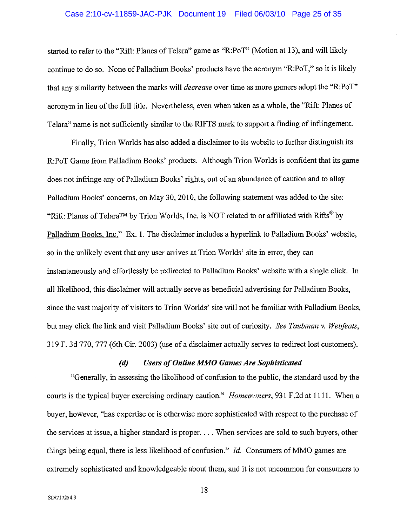### Case 2:10-cv-11859-JAC-PJK Document 19 Filed 06/03/10 Page 25 of 35

started to refer to the "Rift: Planes of Telara" game as "R:PoT" (Motion at 13), and will likely continue to do so. None of Palladium Books' products have the acronym "R:PoT," so it is likely that any similarity between the marks will *decrease* over time as more gamers adopt the "R:PoT" acronym in lieu of the full title. Nevertheless, even when taken as a whole, the "Rift: Planes of Telara" name is not sufficiently similar to the RIFTS mark to support a finding of infringement.

Finally, Trion Worlds has also added a disclaimer to its website to further distinguish its R:PoT Game from Palladium Books' products. Although Trion Worlds is confident that its game does not infringe any of Palladium Books' rights, out of an abundance of caution and to allay Palladium Books' concerns, on May 30, 2010, the following statement was added to the site: "Rift: Planes of Telara<sup>TM</sup> by Trion Worlds, Inc. is NOT related to or affiliated with Rifts® by Palladium Books, Inc." Ex. 1. The disclaimer includes a hyperlink to Palladium Books' website, so in the unlikely event that any user arrives at Trion Worlds' site in error, they can instantaneously and effortlessly be redirected to Palladium Books' website with a single click. In all likelihood, this disclaimer will actually serve as beneficial advertising for Palladium Books, since the vast majority of visitors to Trion Worlds' site will not be familiar with Palladium Books, but may click the link and visit Palladium Books' site out of curiosity. See Taubman v. Webfeats, 319 F. 3d 770, 777 (6th Cir. 2003) (use of a disclaimer actually serves to redirect lost customers).

#### $(d)$ **Users of Online MMO Games Are Sophisticated**

"Generally, in assessing the likelihood of confusion to the public, the standard used by the courts is the typical buyer exercising ordinary caution." Homeowners, 931 F.2d at 1111. When a buyer, however, "has expertise or is otherwise more sophisticated with respect to the purchase of the services at issue, a higher standard is proper. . . . When services are sold to such buyers, other things being equal, there is less likelihood of confusion." Id. Consumers of MMO games are extremely sophisticated and knowledgeable about them, and it is not uncommon for consumers to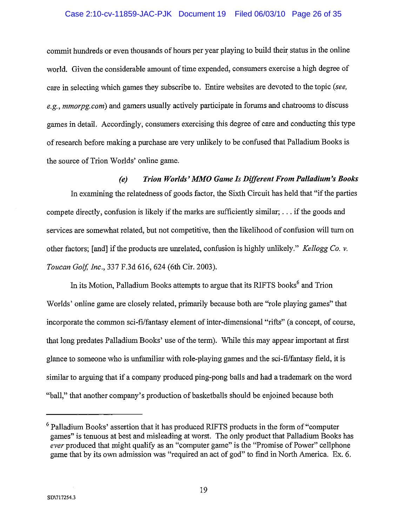### Case 2:10-cv-11859-JAC-PJK Document 19 Filed 06/03/10 Page 26 of 35

commit hundreds or even thousands of hours per year playing to build their status in the online world. Given the considerable amount of time expended, consumers exercise a high degree of care in selecting which games they subscribe to. Entire websites are devoted to the topic (see, e.g., mmorpg.com) and gamers usually actively participate in forums and chatrooms to discuss games in detail. Accordingly, consumers exercising this degree of care and conducting this type of research before making a purchase are very unlikely to be confused that Palladium Books is the source of Trion Worlds' online game.

Trion Worlds' MMO Game Is Different From Palladium's Books  $(e)$ In examining the relatedness of goods factor, the Sixth Circuit has held that "if the parties" compete directly, confusion is likely if the marks are sufficiently similar; ... if the goods and services are somewhat related, but not competitive, then the likelihood of confusion will turn on other factors; [and] if the products are unrelated, confusion is highly unlikely." Kellogg Co. v. Toucan Golf, Inc., 337 F.3d 616, 624 (6th Cir. 2003).

In its Motion, Palladium Books attempts to argue that its RIFTS books<sup>6</sup> and Trion Worlds' online game are closely related, primarily because both are "role playing games" that incorporate the common sci-fi/fantasy element of inter-dimensional "rifts" (a concept, of course, that long predates Palladium Books' use of the term). While this may appear important at first glance to someone who is unfamiliar with role-playing games and the sci-fi/fantasy field, it is similar to arguing that if a company produced ping-pong balls and had a trademark on the word "ball," that another company's production of basketballs should be enjoined because both

 $6$  Palladium Books' assertion that it has produced RIFTS products in the form of "computer games" is tenuous at best and misleading at worst. The only product that Palladium Books has ever produced that might qualify as an "computer game" is the "Promise of Power" cellphone game that by its own admission was "required an act of god" to find in North America. Ex. 6.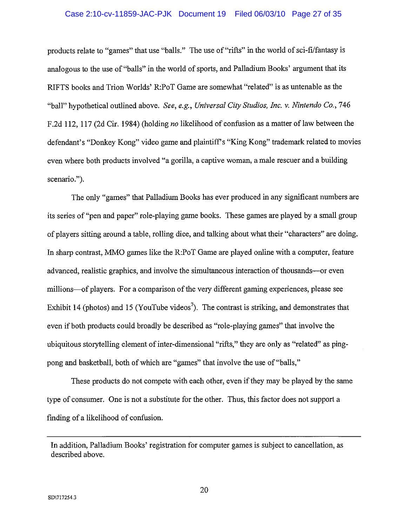### Case 2:10-cv-11859-JAC-PJK Document 19 Filed 06/03/10 Page 27 of 35

products relate to "games" that use "balls." The use of "rifts" in the world of sci-fi/fantasy is analogous to the use of "balls" in the world of sports, and Palladium Books' argument that its RIFTS books and Trion Worlds' R:PoT Game are somewhat "related" is as untenable as the "ball" hypothetical outlined above. See, e.g., Universal City Studios, Inc. v. Nintendo Co., 746 F.2d 112, 117 (2d Cir. 1984) (holding no likelihood of confusion as a matter of law between the defendant's "Donkey Kong" video game and plaintiff's "King Kong" trademark related to movies even where both products involved "a gorilla, a captive woman, a male rescuer and a building scenario.").

The only "games" that Palladium Books has ever produced in any significant numbers are its series of "pen and paper" role-playing game books. These games are played by a small group of players sitting around a table, rolling dice, and talking about what their "characters" are doing. In sharp contrast, MMO games like the R:PoT Game are played online with a computer, feature advanced, realistic graphics, and involve the simultaneous interaction of thousands—or even millions—of players. For a comparison of the very different gaming experiences, please see Exhibit 14 (photos) and 15 (YouTube videos<sup>7</sup>). The contrast is striking, and demonstrates that even if both products could broadly be described as "role-playing games" that involve the ubiquitous storytelling element of inter-dimensional "rifts," they are only as "related" as pingpong and basketball, both of which are "games" that involve the use of "balls,"

These products do not compete with each other, even if they may be played by the same type of consumer. One is not a substitute for the other. Thus, this factor does not support a finding of a likelihood of confusion.

In addition, Palladium Books' registration for computer games is subject to cancellation, as described above.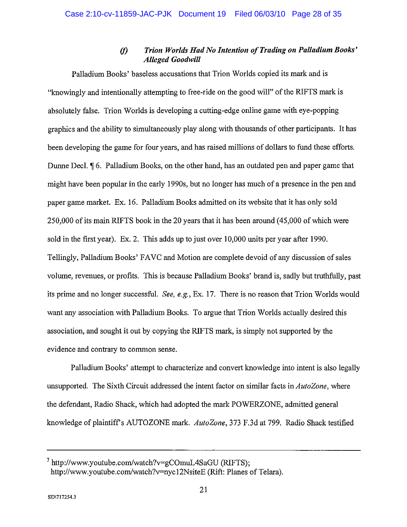#### $\omega$ Trion Worlds Had No Intention of Trading on Palladium Books' **Alleged Goodwill**

Palladium Books' baseless accusations that Trion Worlds copied its mark and is "knowingly and intentionally attempting to free-ride on the good will" of the RIFTS mark is absolutely false. Trion Worlds is developing a cutting-edge online game with eve-popping graphics and the ability to simultaneously play along with thousands of other participants. It has been developing the game for four years, and has raised millions of dollars to fund these efforts. Dunne Decl. ¶ 6. Palladium Books, on the other hand, has an outdated pen and paper game that might have been popular in the early 1990s, but no longer has much of a presence in the pen and paper game market. Ex. 16. Palladium Books admitted on its website that it has only sold 250,000 of its main RIFTS book in the 20 years that it has been around (45,000 of which were sold in the first year). Ex. 2. This adds up to just over 10,000 units per year after 1990. Tellingly, Palladium Books' FAVC and Motion are complete devoid of any discussion of sales volume, revenues, or profits. This is because Palladium Books' brand is, sadly but truthfully, past its prime and no longer successful. See, e.g., Ex. 17. There is no reason that Trion Worlds would want any association with Palladium Books. To argue that Trion Worlds actually desired this association, and sought it out by copying the RIFTS mark, is simply not supported by the evidence and contrary to common sense.

Palladium Books' attempt to characterize and convert knowledge into intent is also legally unsupported. The Sixth Circuit addressed the intent factor on similar facts in AutoZone, where the defendant, Radio Shack, which had adopted the mark POWERZONE, admitted general knowledge of plaintiff's AUTOZONE mark. AutoZone, 373 F.3d at 799. Radio Shack testified

<sup>&</sup>lt;sup>7</sup> http://www.youtube.com/watch?v=gCOmuL4SaGU (RIFTS); http://www.youtube.com/watch?v=nyc12NsiteE (Rift: Planes of Telara).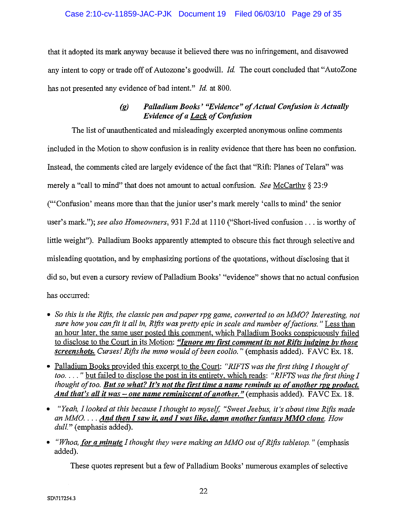### Case 2:10-cv-11859-JAC-PJK Document 19 Filed 06/03/10 Page 29 of 35

that it adopted its mark anyway because it believed there was no infringement, and disavowed any intent to copy or trade off of Autozone's goodwill. *Id.* The court concluded that "AutoZone" has not presented any evidence of bad intent." Id. at 800.

#### Palladium Books' "Evidence" of Actual Confusion is Actually  $\left( g\right)$ **Evidence of a Lack of Confusion**

The list of unauthenticated and misleadingly excerpted anonymous online comments included in the Motion to show confusion is in reality evidence that there has been no confusion. Instead, the comments cited are largely evidence of the fact that "Rift: Planes of Telara" was merely a "call to mind" that does not amount to actual confusion. See McCarthy  $\S 23.9$ ("Confusion' means more than that the junior user's mark merely 'calls to mind' the senior user's mark."); see also Homeowners, 931 F.2d at 1110 ("Short-lived confusion . . . is worthy of little weight"). Palladium Books apparently attempted to obscure this fact through selective and misleading quotation, and by emphasizing portions of the quotations, without disclosing that it did so, but even a cursory review of Palladium Books' "evidence" shows that no actual confusion has occurred:

- So this is the Rifts, the classic pen and paper rpg game, converted to an MMO? Interesting, not sure how you can fit it all in, Rifts was pretty epic in scale and number of factions." Less than an hour later, the same user posted this comment, which Palladium Books conspicuously failed to disclose to the Court in its Motion: "Ignore my first comment its not Rifts judging by those screenshots. Curses! Rifts the mmo would of been coolio." (emphasis added). FAVC Ex. 18.
- Palladium Books provided this excerpt to the Court: "RIFTS was the first thing I thought of too...." but failed to disclose the post in its entirety, which reads: "RIFTS was the first thing I thought of too. But so what? It's not the first time a name reminds us of another rpg product. And that's all it was – one name reminiscent of another." (emphasis added). FAVC Ex. 18.
- "Yeah, I looked at this because I thought to myself, "Sweet Jeebus, it's about time Rifts made an MMO.  $\ldots$  And then I saw it, and I was like, damn another fantasy MMO clone. How dull." (emphasis added).
- "Whoa, for a minute I thought they were making an MMO out of Rifts tabletop." (emphasis added).

These quotes represent but a few of Palladium Books' numerous examples of selective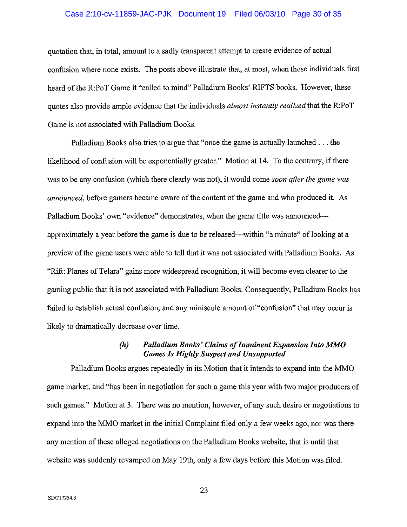### Case 2:10-cv-11859-JAC-PJK Document 19 Filed 06/03/10 Page 30 of 35

quotation that, in total, amount to a sadly transparent attempt to create evidence of actual confusion where none exists. The posts above illustrate that, at most, when these individuals first heard of the R:PoT Game it "called to mind" Palladium Books' RIFTS books. However, these quotes also provide ample evidence that the individuals *almost instantly realized* that the R:PoT Game is not associated with Palladium Books.

Palladium Books also tries to argue that "once the game is actually launched . . . the likelihood of confusion will be exponentially greater." Motion at 14. To the contrary, if there was to be any confusion (which there clearly was not), it would come soon after the game was *announced*, before gamers became aware of the content of the game and who produced it. As Palladium Books' own "evidence" demonstrates, when the game title was announcedapproximately a year before the game is due to be released—within "a minute" of looking at a preview of the game users were able to tell that it was not associated with Palladium Books. As "Rift: Planes of Telara" gains more widespread recognition, it will become even clearer to the gaming public that it is not associated with Palladium Books. Consequently, Palladium Books has failed to establish actual confusion, and any miniscule amount of "confusion" that may occur is likely to dramatically decrease over time.

#### $(h)$ Palladium Books' Claims of Imminent Expansion Into MMO **Games Is Highly Suspect and Unsupported**

Palladium Books argues repeatedly in its Motion that it intends to expand into the MMO game market, and "has been in negotiation for such a game this year with two major producers of such games." Motion at 3. There was no mention, however, of any such desire or negotiations to expand into the MMO market in the initial Complaint filed only a few weeks ago, nor was there any mention of these alleged negotiations on the Palladium Books website, that is until that website was suddenly revamped on May 19th, only a few days before this Motion was filed.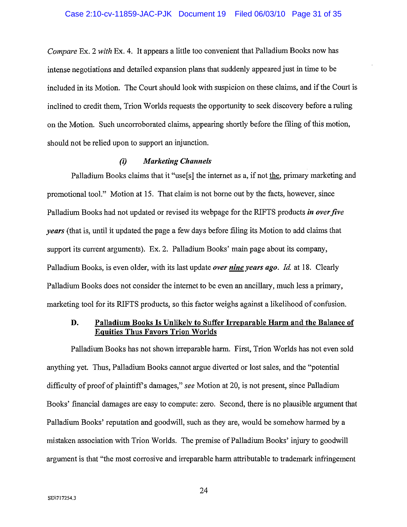Compare Ex. 2 with Ex. 4. It appears a little too convenient that Palladium Books now has intense negotiations and detailed expansion plans that suddenly appeared just in time to be included in its Motion. The Court should look with suspicion on these claims, and if the Court is inclined to credit them. Trion Worlds requests the opportunity to seek discovery before a ruling on the Motion. Such uncorroborated claims, appearing shortly before the filing of this motion, should not be relied upon to support an injunction.

#### $(i)$ **Marketing Channels**

Palladium Books claims that it "use[s] the internet as a, if not the, primary marketing and promotional tool." Motion at 15. That claim is not borne out by the facts, however, since Palladium Books had not updated or revised its webpage for the RIFTS products in over five *vears* (that is, until it updated the page a few days before filing its Motion to add claims that support its current arguments). Ex. 2. Palladium Books' main page about its company, Palladium Books, is even older, with its last update over nine years ago. Id. at 18. Clearly Palladium Books does not consider the internet to be even an ancillary, much less a primary, marketing tool for its RIFTS products, so this factor weighs against a likelihood of confusion.

#### Palladium Books Is Unlikely to Suffer Irreparable Harm and the Balance of D. **Equities Thus Favors Trion Worlds**

Palladium Books has not shown irreparable harm. First, Trion Worlds has not even sold anything yet. Thus, Palladium Books cannot argue diverted or lost sales, and the "potential" difficulty of proof of plaintiff's damages," see Motion at 20, is not present, since Palladium Books' financial damages are easy to compute: zero. Second, there is no plausible argument that Palladium Books' reputation and goodwill, such as they are, would be somehow harmed by a mistaken association with Trion Worlds. The premise of Palladium Books' injury to goodwill argument is that "the most corrosive and irreparable harm attributable to trademark infringement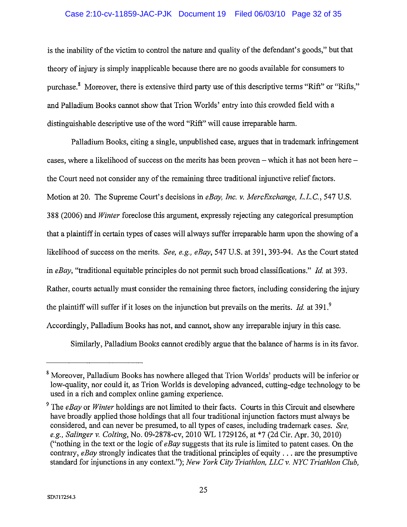### Case 2:10-cv-11859-JAC-PJK Document 19 Filed 06/03/10 Page 32 of 35

is the inability of the victim to control the nature and quality of the defendant's goods," but that theory of injury is simply inapplicable because there are no goods available for consumers to purchase.<sup>8</sup> Moreover, there is extensive third party use of this descriptive terms "Rift" or "Rifts," and Palladium Books cannot show that Trion Worlds' entry into this crowded field with a distinguishable descriptive use of the word "Rift" will cause irreparable harm.

Palladium Books, citing a single, unpublished case, argues that in trademark infringement cases, where a likelihood of success on the merits has been proven – which it has not been here – the Court need not consider any of the remaining three traditional injunctive relief factors. Motion at 20. The Supreme Court's decisions in *eBay, Inc. v. MercExchange, L.L.C.*, 547 U.S. 388 (2006) and *Winter* foreclose this argument, expressly rejecting any categorical presumption that a plaintiff in certain types of cases will always suffer irreparable harm upon the showing of a likelihood of success on the merits. See, e.g., eBay, 547 U.S. at 391, 393-94. As the Court stated in eBay, "traditional equitable principles do not permit such broad classifications." Id. at 393. Rather, courts actually must consider the remaining three factors, including considering the injury the plaintiff will suffer if it loses on the injunction but prevails on the merits. *Id.* at 391.<sup>9</sup> Accordingly, Palladium Books has not, and cannot, show any irreparable injury in this case.

Similarly, Palladium Books cannot credibly argue that the balance of harms is in its favor.

<sup>&</sup>lt;sup>8</sup> Moreover, Palladium Books has nowhere alleged that Trion Worlds' products will be inferior or low-quality, nor could it, as Trion Worlds is developing advanced, cutting-edge technology to be used in a rich and complex online gaming experience.

<sup>&</sup>lt;sup>9</sup> The *eBav* or *Winter* holdings are not limited to their facts. Courts in this Circuit and elsewhere have broadly applied those holdings that all four traditional injunction factors must always be considered, and can never be presumed, to all types of cases, including trademark cases. See, e.g., Salinger v. Colting, No. 09-2878-cv, 2010 WL 1729126, at \*7 (2d Cir. Apr. 30, 2010) ("nothing in the text or the logic of  $e$ Bay suggests that its rule is limited to patent cases. On the contrary, eBay strongly indicates that the traditional principles of equity  $\dots$  are the presumptive standard for injunctions in any context."); New York City Triathlon, LLC v. NYC Triathlon Club.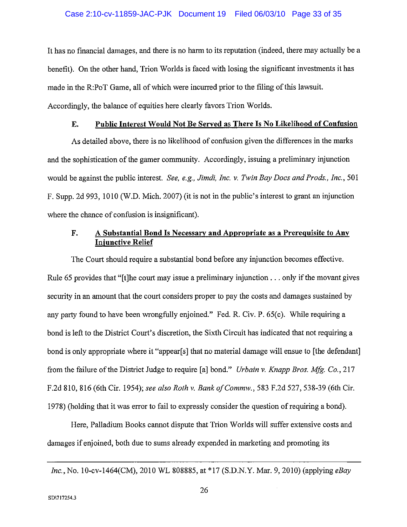### Case 2:10-cv-11859-JAC-PJK Document 19 Filed 06/03/10 Page 33 of 35

It has no financial damages, and there is no harm to its reputation (indeed, there may actually be a benefit). On the other hand, Trion Worlds is faced with losing the significant investments it has made in the R:PoT Game, all of which were incurred prior to the filing of this lawsuit. Accordingly, the balance of equities here clearly favors Trion Worlds.

#### Public Interest Would Not Be Served as There Is No Likelihood of Confusion E.

As detailed above, there is no likelihood of confusion given the differences in the marks and the sophistication of the gamer community. Accordingly, issuing a preliminary injunction would be against the public interest. See, e.g., Jimdi, Inc. v. Twin Bay Docs and Prods., Inc., 501 F. Supp. 2d 993, 1010 (W.D. Mich. 2007) (it is not in the public's interest to grant an injunction where the chance of confusion is insignificant).

#### A Substantial Bond Is Necessary and Appropriate as a Prerequisite to Any F. **Injunctive Relief**

The Court should require a substantial bond before any injunction becomes effective. Rule 65 provides that "[t] the court may issue a preliminary injunction  $\dots$  only if the movant gives security in an amount that the court considers proper to pay the costs and damages sustained by any party found to have been wrongfully enjoined." Fed. R. Civ. P. 65(c). While requiring a bond is left to the District Court's discretion, the Sixth Circuit has indicated that not requiring a bond is only appropriate where it "appear[s] that no material damage will ensue to [the defendant] from the failure of the District Judge to require [a] bond." *Urbain v. Knapp Bros. Mfg. Co.*, 217 F.2d 810, 816 (6th Cir. 1954); see also Roth v. Bank of Commw., 583 F.2d 527, 538-39 (6th Cir. 1978) (holding that it was error to fail to expressly consider the question of requiring a bond).

Here, Palladium Books cannot dispute that Trion Worlds will suffer extensive costs and damages if enjoined, both due to sums already expended in marketing and promoting its

Inc., No. 10-cv-1464(CM), 2010 WL 808885, at \*17 (S.D.N.Y. Mar. 9, 2010) (applying eBay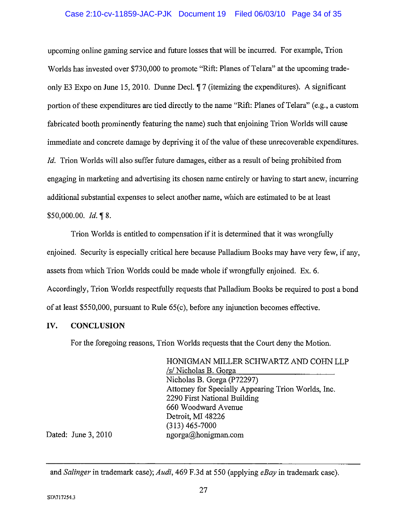### Case 2:10-cv-11859-JAC-PJK Document 19 Filed 06/03/10 Page 34 of 35

upcoming online gaming service and future losses that will be incurred. For example, Trion Worlds has invested over \$730,000 to promote "Rift: Planes of Telara" at the upcoming tradeonly E3 Expo on June 15, 2010. Dunne Decl. *[7]* (itemizing the expenditures). A significant portion of these expenditures are tied directly to the name "Rift: Planes of Telara" (e.g., a custom fabricated booth prominently featuring the name) such that enjoining Trion Worlds will cause immediate and concrete damage by depriving it of the value of these unrecoverable expenditures. *Id.* Trion Worlds will also suffer future damages, either as a result of being prohibited from engaging in marketing and advertising its chosen name entirely or having to start anew, incurring additional substantial expenses to select another name, which are estimated to be at least \$50,000.00. Id. 18.

Trion Worlds is entitled to compensation if it is determined that it was wrongfully enjoined. Security is especially critical here because Palladium Books may have very few, if any, assets from which Trion Worlds could be made whole if wrongfully enjoined. Ex. 6. Accordingly, Trion Worlds respectfully requests that Palladium Books be required to post a bond of at least \$550,000, pursuant to Rule 65(c), before any injunction becomes effective.

#### IV. **CONCLUSION**

For the foregoing reasons, Trion Worlds requests that the Court deny the Motion.

HONIGMAN MILLER SCHWARTZ AND COHN LLP /s/ Nicholas B. Gorga Nicholas B. Gorga (P72297) Attorney for Specially Appearing Trion Worlds, Inc. 2290 First National Building 660 Woodward Avenue Detroit, MI 48226  $(313)$  465-7000 ngorga@honigman.com

Dated: June 3, 2010

and Salinger in trademark case); Audi, 469 F.3d at 550 (applying eBay in trademark case).